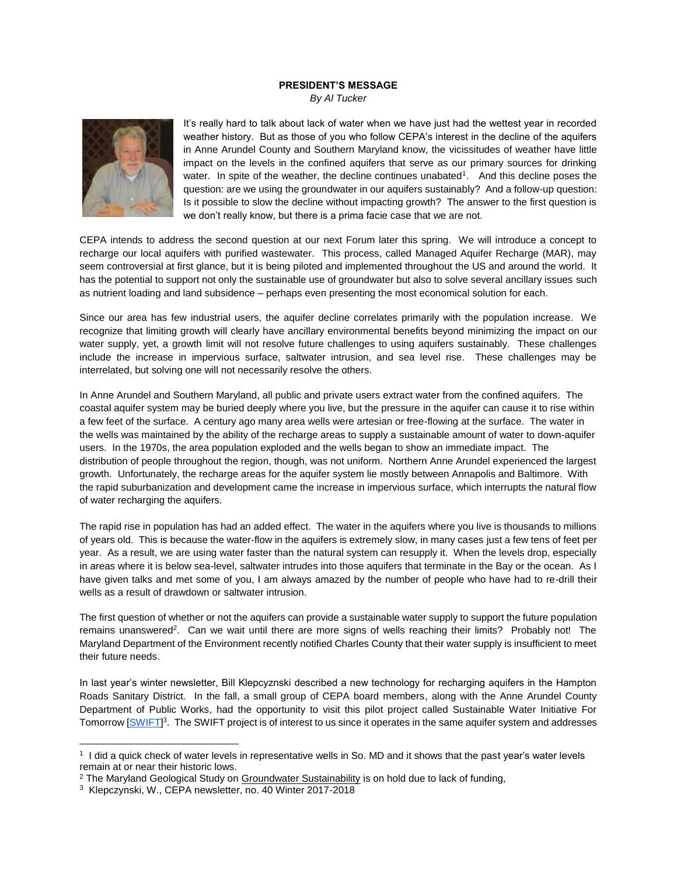## **PRESIDENT'S MESSAGE**

*By Al Tucker*



It's really hard to talk about lack of water when we have just had the wettest year in recorded weather history. But as those of you who follow CEPA's interest in the decline of the aquifers in Anne Arundel County and Southern Maryland know, the vicissitudes of weather have little impact on the levels in the confined aquifers that serve as our primary sources for drinking water. In spite of the weather, the decline continues unabated<sup>1</sup>. And this decline poses the question: are we using the groundwater in our aquifers sustainably? And a follow-up question: Is it possible to slow the decline without impacting growth? The answer to the first question is we don't really know, but there is a prima facie case that we are not.

CEPA intends to address the second question at our next Forum later this spring. We will introduce a concept to recharge our local aquifers with purified wastewater. This process, called Managed Aquifer Recharge (MAR), may seem controversial at first glance, but it is being piloted and implemented throughout the US and around the world. It has the potential to support not only the sustainable use of groundwater but also to solve several ancillary issues such as nutrient loading and land subsidence – perhaps even presenting the most economical solution for each.

Since our area has few industrial users, the aquifer decline correlates primarily with the population increase. We recognize that limiting growth will clearly have ancillary environmental benefits beyond minimizing the impact on our water supply, yet, a growth limit will not resolve future challenges to using aquifers sustainably. These challenges include the increase in impervious surface, saltwater intrusion, and sea level rise. These challenges may be interrelated, but solving one will not necessarily resolve the others.

In Anne Arundel and Southern Maryland, all public and private users extract water from the confined aquifers. The coastal aquifer system may be buried deeply where you live, but the pressure in the aquifer can cause it to rise within a few feet of the surface. A century ago many area wells were artesian or free-flowing at the surface. The water in the wells was maintained by the ability of the recharge areas to supply a sustainable amount of water to down-aquifer users. In the 1970s, the area population exploded and the wells began to show an immediate impact. The distribution of people throughout the region, though, was not uniform. Northern Anne Arundel experienced the largest growth. Unfortunately, the recharge areas for the aquifer system lie mostly between Annapolis and Baltimore. With the rapid suburbanization and development came the increase in impervious surface, which interrupts the natural flow of water recharging the aquifers.

The rapid rise in population has had an added effect. The water in the aquifers where you live is thousands to millions of years old. This is because the water-flow in the aquifers is extremely slow, in many cases just a few tens of feet per year. As a result, we are using water faster than the natural system can resupply it. When the levels drop, especially in areas where it is below sea-level, saltwater intrudes into those aquifers that terminate in the Bay or the ocean. As I have given talks and met some of you, I am always amazed by the number of people who have had to re-drill their wells as a result of drawdown or saltwater intrusion.

The first question of whether or not the aquifers can provide a sustainable water supply to support the future population remains unanswered<sup>2</sup>. Can we wait until there are more signs of wells reaching their limits? Probably not! The Maryland Department of the Environment recently notified Charles County that their water supply is insufficient to meet their future needs.

In last year's winter newsletter, Bill Klepcyznski described a new technology for recharging aquifers in the Hampton Roads Sanitary District. In the fall, a small group of CEPA board members, along with the Anne Arundel County Department of Public Works, had the opportunity to visit this pilot project called Sustainable Water Initiative For Tomorrow [\[SWIFT\]](https://cepaonline.org/articles/newsltr40-2.pdf)<sup>3</sup>. The SWIFT project is of interest to us since it operates in the same aquifer system and addresses

l

<sup>1</sup> I did a quick check of water levels in representative wells in So. MD and it shows that the past year's water levels remain at or near their historic lows.

<sup>&</sup>lt;sup>2</sup> The Maryland Geological Study on Groundwater Sustainability is on hold due to lack of funding,

<sup>3</sup> Klepczynski, W., CEPA newsletter, no. 40 Winter 2017-2018